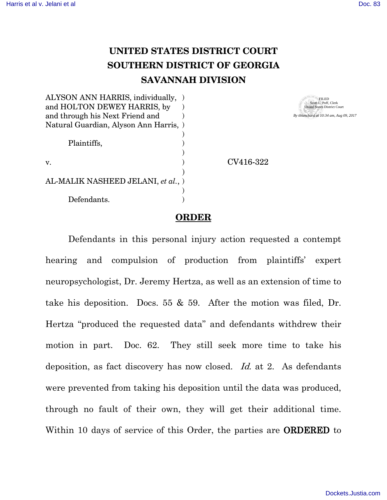## **UNITED STATES DISTRICT COURT SOUTHERN DISTRICT OF GEORGIA SAVANNAH DIVISION**

| ALYSON ANN HARRIS, individually,       |           |
|----------------------------------------|-----------|
| and HOLTON DEWEY HARRIS, by            |           |
| and through his Next Friend and        |           |
| Natural Guardian, Alyson Ann Harris, ) |           |
|                                        |           |
| Plaintiffs,                            |           |
|                                        |           |
| v.                                     | CV416-322 |
|                                        |           |
| AL-MALIK NASHEED JELANI, et al., )     |           |
|                                        |           |
| Defendants.                            |           |

FILED Scott L. Poff, Clerk United States District Court *By tblanchard at 10:34 am, Aug 09, 2017*

## **ORDER**

Defendants in this personal injury action requested a contempt hearing and compulsion of production from plaintiffs' expert neuropsychologist, Dr. Jeremy Hertza, as well as an extension of time to take his deposition. Docs. 55 & 59. After the motion was filed, Dr. Hertza "produced the requested data" and defendants withdrew their motion in part. Doc. 62. They still seek more time to take his deposition, as fact discovery has now closed. Id. at 2. As defendants were prevented from taking his deposition until the data was produced, through no fault of their own, they will get their additional time. Within 10 days of service of this Order, the parties are ORDERED to